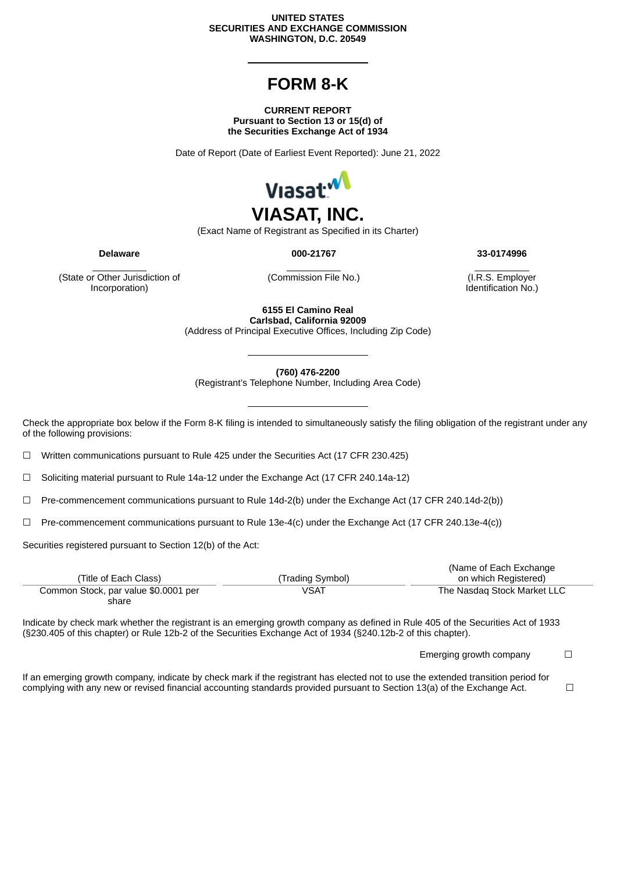## **UNITED STATES SECURITIES AND EXCHANGE COMMISSION WASHINGTON, D.C. 20549**

## **FORM 8-K**

## **CURRENT REPORT Pursuant to Section 13 or 15(d) of the Securities Exchange Act of 1934**

Date of Report (Date of Earliest Event Reported): June 21, 2022



(Exact Name of Registrant as Specified in its Charter)

**Delaware 000-21767 33-0174996**

(State or Other Jurisdiction of Incorporation)

(Commission File No.) (I.R.S. Employer

Identification No.)

**6155 El Camino Real Carlsbad, California 92009**

(Address of Principal Executive Offices, Including Zip Code)

**(760) 476-2200**

(Registrant's Telephone Number, Including Area Code)

Check the appropriate box below if the Form 8-K filing is intended to simultaneously satisfy the filing obligation of the registrant under any of the following provisions:

☐ Written communications pursuant to Rule 425 under the Securities Act (17 CFR 230.425)

☐ Soliciting material pursuant to Rule 14a-12 under the Exchange Act (17 CFR 240.14a-12)

☐ Pre-commencement communications pursuant to Rule 14d-2(b) under the Exchange Act (17 CFR 240.14d-2(b))

☐ Pre-commencement communications pursuant to Rule 13e-4(c) under the Exchange Act (17 CFR 240.13e-4(c))

Securities registered pursuant to Section 12(b) of the Act:

|                                      |                  | (Name of Each Exchange)     |
|--------------------------------------|------------------|-----------------------------|
| (Title of Each Class)                | (Trading Symbol) | on which Registered)        |
| Common Stock, par value \$0.0001 per | VSAT             | The Nasdag Stock Market LLC |
| share                                |                  |                             |

Indicate by check mark whether the registrant is an emerging growth company as defined in Rule 405 of the Securities Act of 1933 (§230.405 of this chapter) or Rule 12b-2 of the Securities Exchange Act of 1934 (§240.12b-2 of this chapter).

Emerging growth company  $\Box$ 

If an emerging growth company, indicate by check mark if the registrant has elected not to use the extended transition period for complying with any new or revised financial accounting standards provided pursuant to Section 13(a) of the Exchange Act.  $□$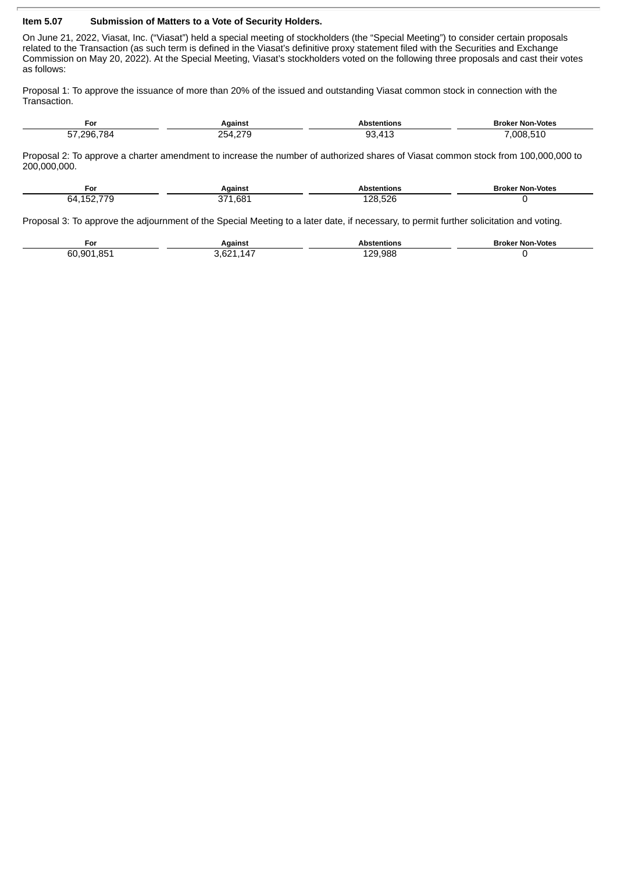## **Item 5.07 Submission of Matters to a Vote of Security Holders.**

 $\overline{a}$ 

On June 21, 2022, Viasat, Inc. ("Viasat") held a special meeting of stockholders (the "Special Meeting") to consider certain proposals related to the Transaction (as such term is defined in the Viasat's definitive proxy statement filed with the Securities and Exchange Commission on May 20, 2022). At the Special Meeting, Viasat's stockholders voted on the following three proposals and cast their votes as follows:

Proposal 1: To approve the issuance of more than 20% of the issued and outstanding Viasat common stock in connection with the Transaction.

| For        | Against                         | <b>Abstentions</b>                  | <b>Broker Non-Votes</b> |
|------------|---------------------------------|-------------------------------------|-------------------------|
| 57 296 784 | 270<br>254<br>$\sim$ . $\sim$ . | 110<br>nn<br>$\prime$<br>ാം.<br>≖⊥⊾ | 008.510                 |

Proposal 2: To approve a charter amendment to increase the number of authorized shares of Viasat common stock from 100,000,000 to 200,000,000.

| ∓or                 | <b>A</b> aanst      | tentions                          | <b>Broker Non-Votes</b> |
|---------------------|---------------------|-----------------------------------|-------------------------|
| ––^<br>64<br>$\sim$ | 0.01<br>. .<br>−0Q⊤ | $\sim$ $\sim$<br>ג?<br>ا∠∂.<br>__ |                         |

Proposal 3: To approve the adjournment of the Special Meeting to a later date, if necessary, to permit further solicitation and voting.

| For                   | <b>A</b> aainsi | tentions    | <b>Broker Non-Votes</b> |
|-----------------------|-----------------|-------------|-------------------------|
| OC<br>60<br>901<br>__ | ıд              | .988<br>0פ∶ |                         |